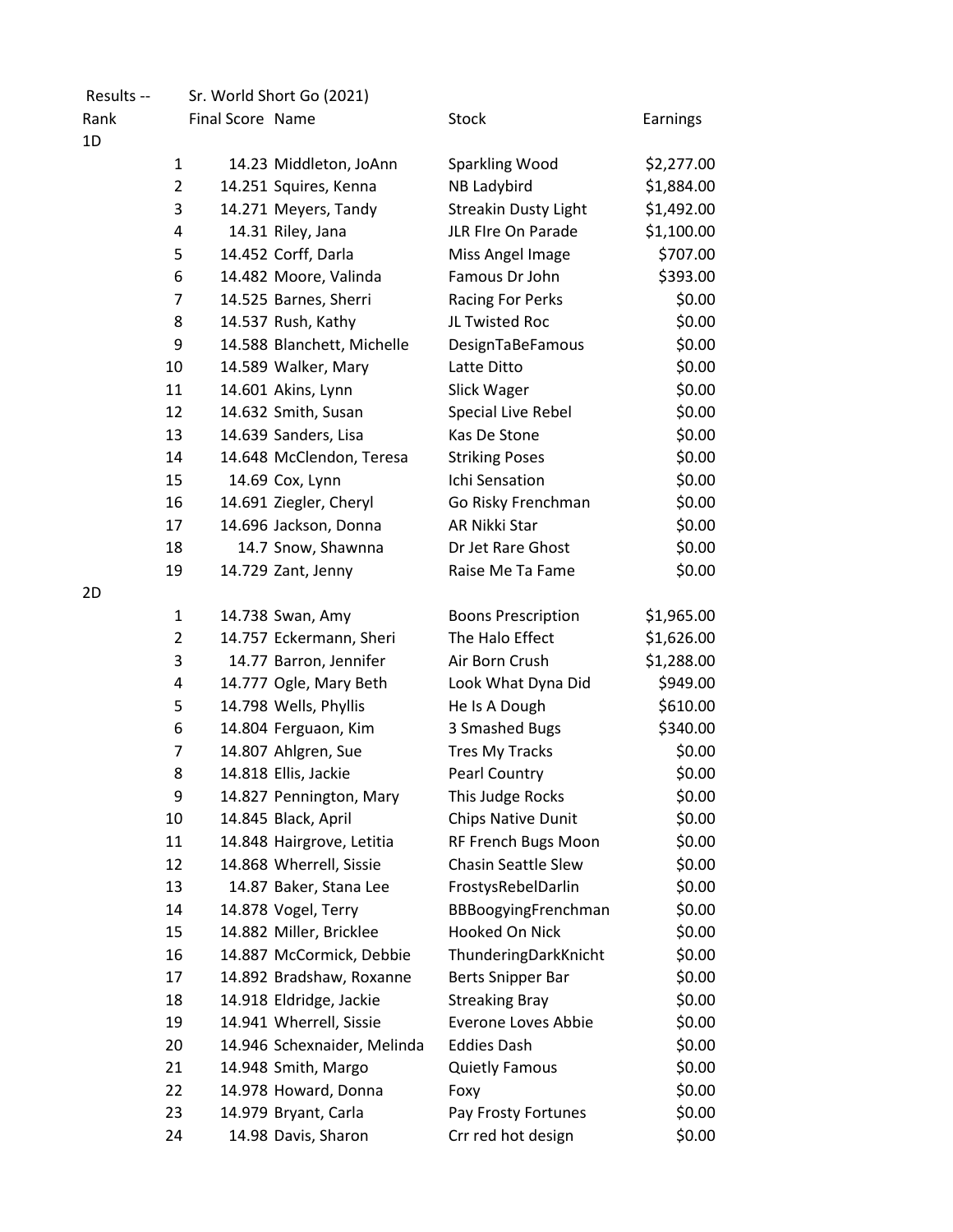| Results -- |                |                  | Sr. World Short Go (2021)   |                             |            |
|------------|----------------|------------------|-----------------------------|-----------------------------|------------|
| Rank       |                | Final Score Name |                             | <b>Stock</b>                | Earnings   |
| 1D         |                |                  |                             |                             |            |
|            | $\mathbf{1}$   |                  | 14.23 Middleton, JoAnn      | Sparkling Wood              | \$2,277.00 |
|            | $\overline{2}$ |                  | 14.251 Squires, Kenna       | NB Ladybird                 | \$1,884.00 |
|            | 3              |                  | 14.271 Meyers, Tandy        | <b>Streakin Dusty Light</b> | \$1,492.00 |
|            | 4              |                  | 14.31 Riley, Jana           | JLR FIre On Parade          | \$1,100.00 |
|            | 5              |                  | 14.452 Corff, Darla         | Miss Angel Image            | \$707.00   |
|            | 6              |                  | 14.482 Moore, Valinda       | Famous Dr John              | \$393.00   |
|            | 7              |                  | 14.525 Barnes, Sherri       | Racing For Perks            | \$0.00     |
|            | 8              |                  | 14.537 Rush, Kathy          | JL Twisted Roc              | \$0.00     |
|            | 9              |                  | 14.588 Blanchett, Michelle  | DesignTaBeFamous            | \$0.00     |
|            | 10             |                  | 14.589 Walker, Mary         | Latte Ditto                 | \$0.00     |
|            | 11             |                  | 14.601 Akins, Lynn          | Slick Wager                 | \$0.00     |
|            | 12             |                  | 14.632 Smith, Susan         | Special Live Rebel          | \$0.00     |
|            | 13             |                  | 14.639 Sanders, Lisa        | Kas De Stone                | \$0.00     |
|            | 14             |                  | 14.648 McClendon, Teresa    | <b>Striking Poses</b>       | \$0.00     |
|            | 15             |                  | 14.69 Cox, Lynn             | Ichi Sensation              | \$0.00     |
|            | 16             |                  | 14.691 Ziegler, Cheryl      | Go Risky Frenchman          | \$0.00     |
|            | 17             |                  | 14.696 Jackson, Donna       | AR Nikki Star               | \$0.00     |
|            | 18             |                  | 14.7 Snow, Shawnna          | Dr Jet Rare Ghost           | \$0.00     |
|            | 19             |                  | 14.729 Zant, Jenny          | Raise Me Ta Fame            | \$0.00     |
| 2D         |                |                  |                             |                             |            |
|            | $\mathbf{1}$   |                  | 14.738 Swan, Amy            | <b>Boons Prescription</b>   | \$1,965.00 |
|            | $\overline{2}$ |                  | 14.757 Eckermann, Sheri     | The Halo Effect             | \$1,626.00 |
|            | 3              |                  | 14.77 Barron, Jennifer      | Air Born Crush              | \$1,288.00 |
|            | 4              |                  | 14.777 Ogle, Mary Beth      | Look What Dyna Did          | \$949.00   |
|            | 5              |                  | 14.798 Wells, Phyllis       | He Is A Dough               | \$610.00   |
|            | 6              |                  | 14.804 Ferguaon, Kim        | 3 Smashed Bugs              | \$340.00   |
|            | 7              |                  | 14.807 Ahlgren, Sue         | Tres My Tracks              | \$0.00     |
|            | 8              |                  | 14.818 Ellis, Jackie        | <b>Pearl Country</b>        | \$0.00     |
|            | 9              |                  | 14.827 Pennington, Mary     | This Judge Rocks            | \$0.00     |
|            | 10             |                  | 14.845 Black, April         | <b>Chips Native Dunit</b>   | \$0.00     |
|            | 11             |                  | 14.848 Hairgrove, Letitia   | RF French Bugs Moon         | \$0.00     |
|            | 12             |                  | 14.868 Wherrell, Sissie     | <b>Chasin Seattle Slew</b>  | \$0.00     |
|            | 13             |                  | 14.87 Baker, Stana Lee      | FrostysRebelDarlin          | \$0.00     |
|            | 14             |                  | 14.878 Vogel, Terry         | BBBoogyingFrenchman         | \$0.00     |
|            | 15             |                  | 14.882 Miller, Bricklee     | Hooked On Nick              | \$0.00     |
|            | 16             |                  | 14.887 McCormick, Debbie    | ThunderingDarkKnicht        | \$0.00     |
|            | 17             |                  | 14.892 Bradshaw, Roxanne    | Berts Snipper Bar           | \$0.00     |
|            | 18             |                  | 14.918 Eldridge, Jackie     | <b>Streaking Bray</b>       | \$0.00     |
|            | 19             |                  | 14.941 Wherrell, Sissie     | Everone Loves Abbie         | \$0.00     |
|            | 20             |                  | 14.946 Schexnaider, Melinda | <b>Eddies Dash</b>          | \$0.00     |
|            | 21             |                  | 14.948 Smith, Margo         | <b>Quietly Famous</b>       | \$0.00     |
|            | 22             |                  | 14.978 Howard, Donna        | Foxy                        | \$0.00     |
|            | 23             |                  | 14.979 Bryant, Carla        | Pay Frosty Fortunes         | \$0.00     |
|            | 24             |                  | 14.98 Davis, Sharon         | Crr red hot design          | \$0.00     |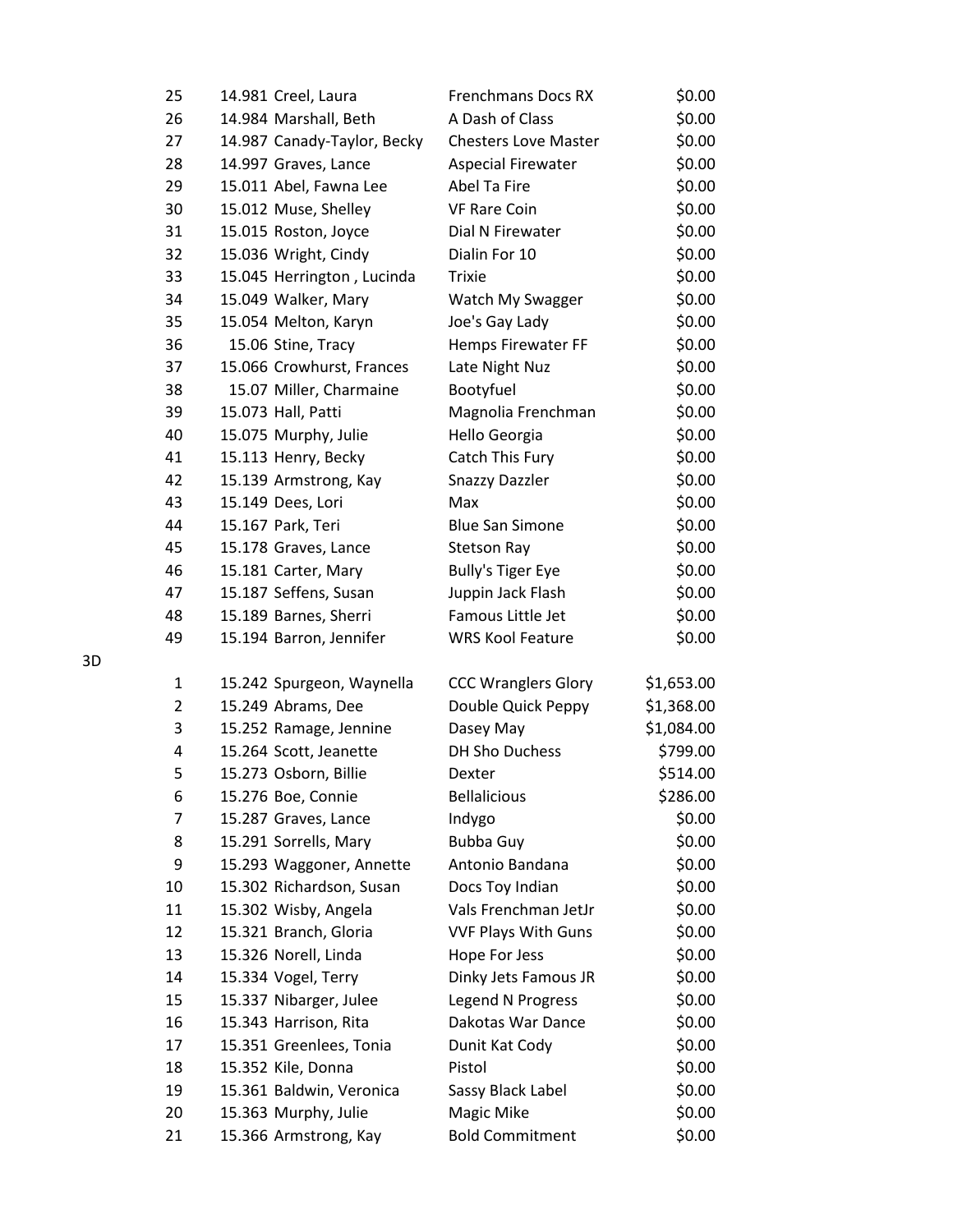| 25             | 14.981 Creel, Laura         | <b>Frenchmans Docs RX</b>   | \$0.00     |
|----------------|-----------------------------|-----------------------------|------------|
| 26             | 14.984 Marshall, Beth       | A Dash of Class             | \$0.00     |
| 27             | 14.987 Canady-Taylor, Becky | <b>Chesters Love Master</b> | \$0.00     |
| 28             | 14.997 Graves, Lance        | <b>Aspecial Firewater</b>   | \$0.00     |
| 29             | 15.011 Abel, Fawna Lee      | Abel Ta Fire                | \$0.00     |
| 30             | 15.012 Muse, Shelley        | <b>VF Rare Coin</b>         | \$0.00     |
| 31             | 15.015 Roston, Joyce        | Dial N Firewater            | \$0.00     |
| 32             | 15.036 Wright, Cindy        | Dialin For 10               | \$0.00     |
| 33             | 15.045 Herrington, Lucinda  | <b>Trixie</b>               | \$0.00     |
| 34             | 15.049 Walker, Mary         | Watch My Swagger            | \$0.00     |
| 35             | 15.054 Melton, Karyn        | Joe's Gay Lady              | \$0.00     |
| 36             | 15.06 Stine, Tracy          | Hemps Firewater FF          | \$0.00     |
| 37             | 15.066 Crowhurst, Frances   | Late Night Nuz              | \$0.00     |
| 38             | 15.07 Miller, Charmaine     | Bootyfuel                   | \$0.00     |
| 39             | 15.073 Hall, Patti          | Magnolia Frenchman          | \$0.00     |
| 40             | 15.075 Murphy, Julie        | Hello Georgia               | \$0.00     |
| 41             | 15.113 Henry, Becky         | Catch This Fury             | \$0.00     |
| 42             | 15.139 Armstrong, Kay       | <b>Snazzy Dazzler</b>       | \$0.00     |
| 43             | 15.149 Dees, Lori           | Max                         | \$0.00     |
| 44             | 15.167 Park, Teri           | <b>Blue San Simone</b>      | \$0.00     |
| 45             | 15.178 Graves, Lance        | <b>Stetson Ray</b>          | \$0.00     |
| 46             | 15.181 Carter, Mary         | <b>Bully's Tiger Eye</b>    | \$0.00     |
| 47             | 15.187 Seffens, Susan       | Juppin Jack Flash           | \$0.00     |
| 48             | 15.189 Barnes, Sherri       | Famous Little Jet           | \$0.00     |
| 49             | 15.194 Barron, Jennifer     | <b>WRS Kool Feature</b>     | \$0.00     |
| 1              | 15.242 Spurgeon, Waynella   | <b>CCC Wranglers Glory</b>  | \$1,653.00 |
| $\overline{2}$ | 15.249 Abrams, Dee          | Double Quick Peppy          | \$1,368.00 |
| 3              | 15.252 Ramage, Jennine      | Dasey May                   | \$1,084.00 |
| 4              | 15.264 Scott, Jeanette      | <b>DH Sho Duchess</b>       | \$799.00   |
| 5              | 15.273 Osborn, Billie       | Dexter                      | \$514.00   |
| 6              | 15.276 Boe, Connie          | <b>Bellalicious</b>         | \$286.00   |
| $\overline{7}$ | 15.287 Graves, Lance        | Indygo                      | \$0.00     |
| 8              | 15.291 Sorrells, Mary       | Bubba Guy                   | \$0.00     |
| 9              | 15.293 Waggoner, Annette    | Antonio Bandana             | \$0.00     |
| 10             | 15.302 Richardson, Susan    | Docs Toy Indian             | \$0.00     |
| 11             | 15.302 Wisby, Angela        | Vals Frenchman JetJr        | \$0.00     |
| 12             | 15.321 Branch, Gloria       | <b>VVF Plays With Guns</b>  | \$0.00     |
| 13             | 15.326 Norell, Linda        | Hope For Jess               | \$0.00     |
| 14             | 15.334 Vogel, Terry         | Dinky Jets Famous JR        | \$0.00     |
| 15             | 15.337 Nibarger, Julee      | Legend N Progress           | \$0.00     |
| 16             | 15.343 Harrison, Rita       | Dakotas War Dance           | \$0.00     |
| 17             | 15.351 Greenlees, Tonia     | Dunit Kat Cody              | \$0.00     |
| 18             | 15.352 Kile, Donna          | Pistol                      | \$0.00     |
| 19             | 15.361 Baldwin, Veronica    | Sassy Black Label           | \$0.00     |
| 20             | 15.363 Murphy, Julie        | Magic Mike                  | \$0.00     |
| 21             | 15.366 Armstrong, Kay       | <b>Bold Commitment</b>      | \$0.00     |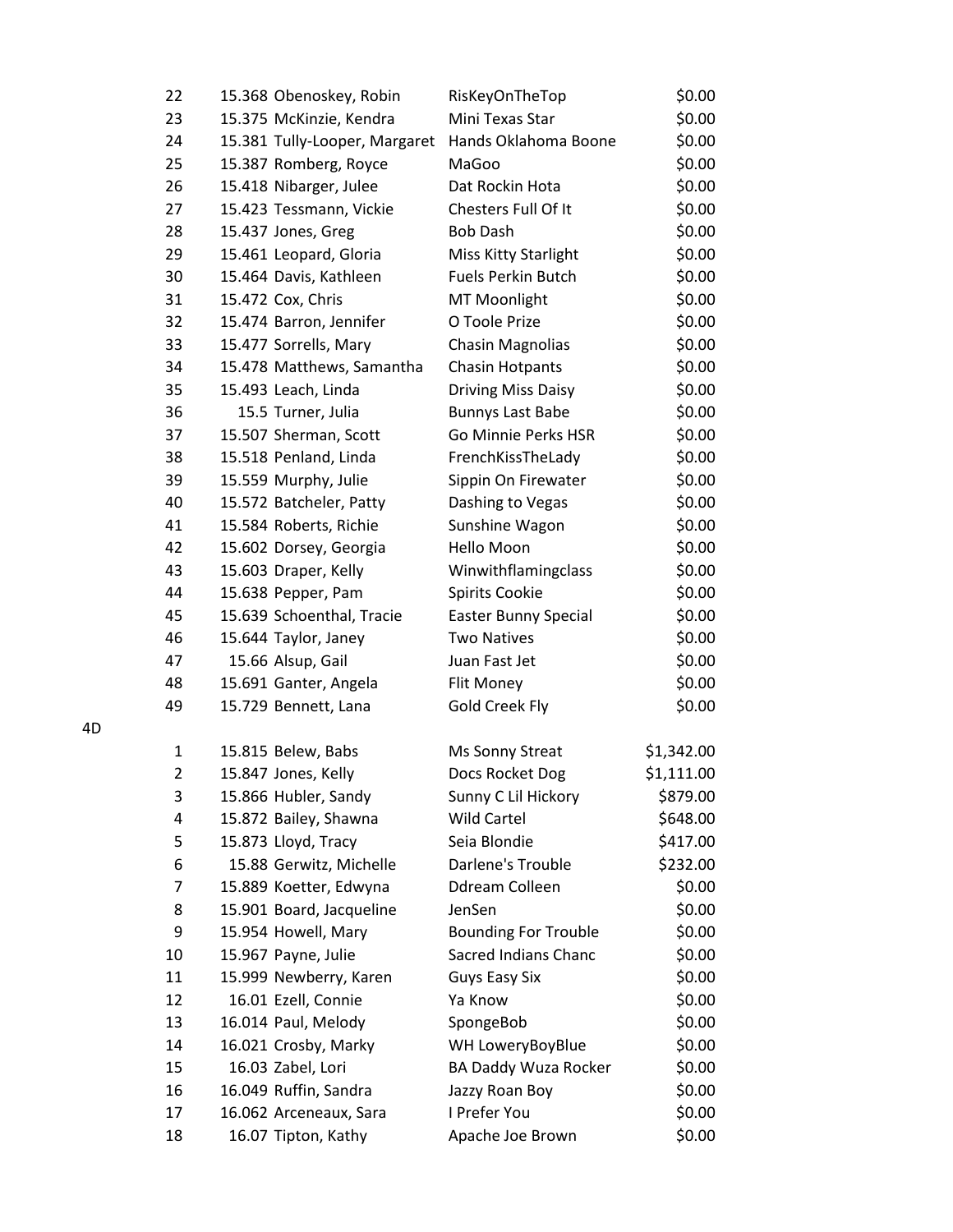| 22             | 15.368 Obenoskey, Robin       | RisKeyOnTheTop              | \$0.00     |
|----------------|-------------------------------|-----------------------------|------------|
| 23             | 15.375 McKinzie, Kendra       | Mini Texas Star             | \$0.00     |
| 24             | 15.381 Tully-Looper, Margaret | Hands Oklahoma Boone        | \$0.00     |
| 25             | 15.387 Romberg, Royce         | MaGoo                       | \$0.00     |
| 26             | 15.418 Nibarger, Julee        | Dat Rockin Hota             | \$0.00     |
| 27             | 15.423 Tessmann, Vickie       | Chesters Full Of It         | \$0.00     |
| 28             | 15.437 Jones, Greg            | <b>Bob Dash</b>             | \$0.00     |
| 29             | 15.461 Leopard, Gloria        | Miss Kitty Starlight        | \$0.00     |
| 30             | 15.464 Davis, Kathleen        | <b>Fuels Perkin Butch</b>   | \$0.00     |
| 31             | 15.472 Cox, Chris             | MT Moonlight                | \$0.00     |
| 32             | 15.474 Barron, Jennifer       | O Toole Prize               | \$0.00     |
| 33             | 15.477 Sorrells, Mary         | Chasin Magnolias            | \$0.00     |
| 34             | 15.478 Matthews, Samantha     | <b>Chasin Hotpants</b>      | \$0.00     |
| 35             | 15.493 Leach, Linda           | <b>Driving Miss Daisy</b>   | \$0.00     |
| 36             | 15.5 Turner, Julia            | <b>Bunnys Last Babe</b>     | \$0.00     |
| 37             | 15.507 Sherman, Scott         | Go Minnie Perks HSR         | \$0.00     |
| 38             | 15.518 Penland, Linda         | FrenchKissTheLady           | \$0.00     |
| 39             | 15.559 Murphy, Julie          | Sippin On Firewater         | \$0.00     |
| 40             | 15.572 Batcheler, Patty       | Dashing to Vegas            | \$0.00     |
| 41             | 15.584 Roberts, Richie        | Sunshine Wagon              | \$0.00     |
| 42             | 15.602 Dorsey, Georgia        | Hello Moon                  | \$0.00     |
| 43             | 15.603 Draper, Kelly          | Winwithflamingclass         | \$0.00     |
| 44             | 15.638 Pepper, Pam            | Spirits Cookie              | \$0.00     |
| 45             | 15.639 Schoenthal, Tracie     | <b>Easter Bunny Special</b> | \$0.00     |
| 46             | 15.644 Taylor, Janey          | <b>Two Natives</b>          | \$0.00     |
| 47             | 15.66 Alsup, Gail             | Juan Fast Jet               | \$0.00     |
| 48             | 15.691 Ganter, Angela         | Flit Money                  | \$0.00     |
| 49             | 15.729 Bennett, Lana          | <b>Gold Creek Fly</b>       | \$0.00     |
| 1              | 15.815 Belew, Babs            | Ms Sonny Streat             | \$1,342.00 |
| $\overline{2}$ | 15.847 Jones, Kelly           | Docs Rocket Dog             | \$1,111.00 |
| 3              | 15.866 Hubler, Sandy          | Sunny C Lil Hickory         | \$879.00   |
| 4              | 15.872 Bailey, Shawna         | <b>Wild Cartel</b>          | \$648.00   |
| 5              | 15.873 Lloyd, Tracy           | Seia Blondie                | \$417.00   |
| 6              | 15.88 Gerwitz, Michelle       | Darlene's Trouble           | \$232.00   |
| 7              | 15.889 Koetter, Edwyna        | Ddream Colleen              | \$0.00     |
| 8              | 15.901 Board, Jacqueline      | JenSen                      | \$0.00     |
| 9              | 15.954 Howell, Mary           | <b>Bounding For Trouble</b> | \$0.00     |
| 10             | 15.967 Payne, Julie           | <b>Sacred Indians Chanc</b> | \$0.00     |
| 11             | 15.999 Newberry, Karen        | <b>Guys Easy Six</b>        | \$0.00     |
| 12             | 16.01 Ezell, Connie           | Ya Know                     | \$0.00     |
| 13             | 16.014 Paul, Melody           | SpongeBob                   | \$0.00     |
| 14             | 16.021 Crosby, Marky          | WH LoweryBoyBlue            | \$0.00     |
| 15             | 16.03 Zabel, Lori             | BA Daddy Wuza Rocker        | \$0.00     |
| 16             | 16.049 Ruffin, Sandra         | Jazzy Roan Boy              | \$0.00     |
| 17             | 16.062 Arceneaux, Sara        | I Prefer You                | \$0.00     |
| 18             | 16.07 Tipton, Kathy           | Apache Joe Brown            | \$0.00     |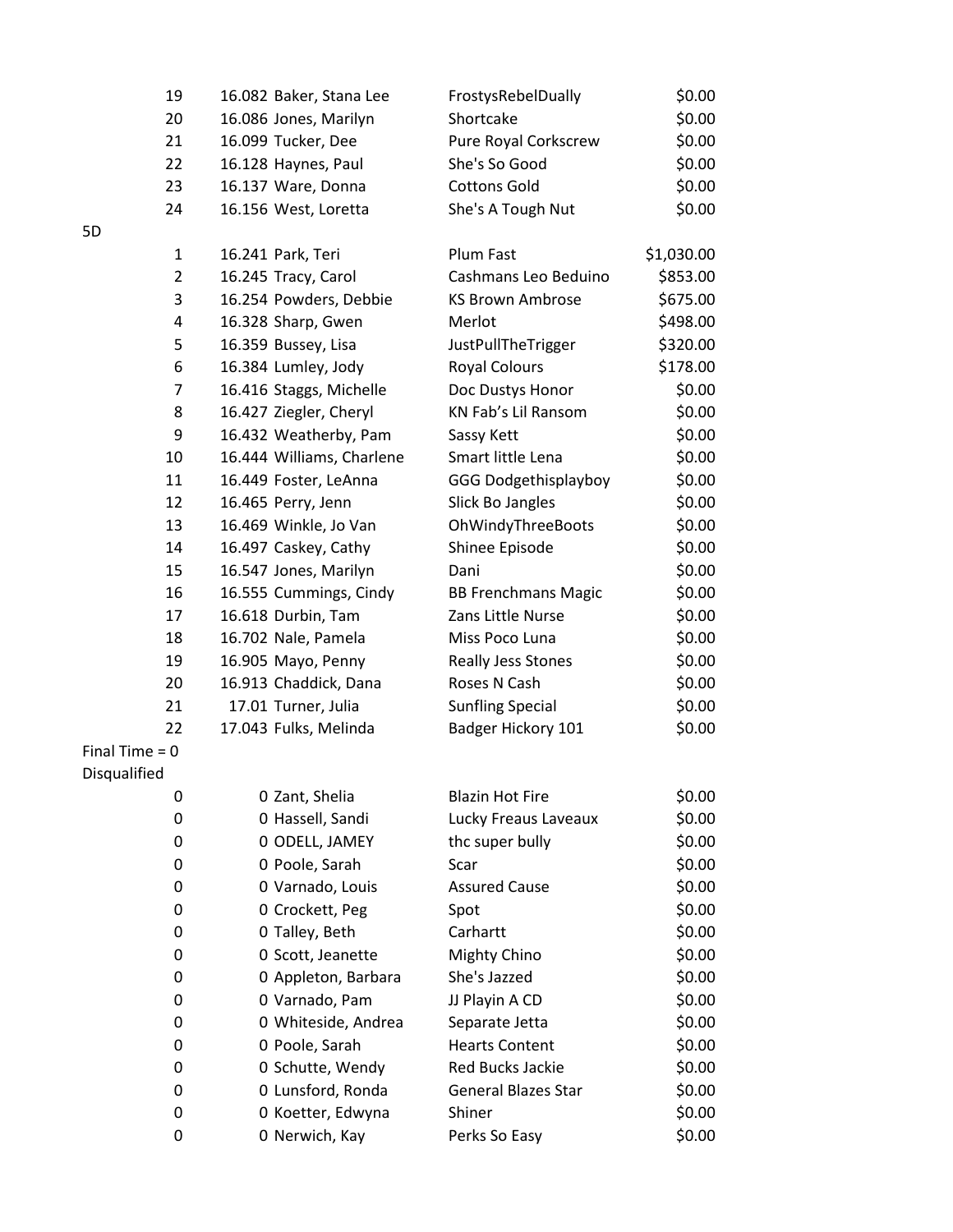| 19               | 16.082 Baker, Stana Lee   | FrostysRebelDually          | \$0.00     |
|------------------|---------------------------|-----------------------------|------------|
| 20               | 16.086 Jones, Marilyn     | Shortcake                   | \$0.00     |
| 21               | 16.099 Tucker, Dee        | Pure Royal Corkscrew        | \$0.00     |
| 22               | 16.128 Haynes, Paul       | She's So Good               | \$0.00     |
| 23               | 16.137 Ware, Donna        | <b>Cottons Gold</b>         | \$0.00     |
| 24               | 16.156 West, Loretta      | She's A Tough Nut           | \$0.00     |
| 5D               |                           |                             |            |
| $\mathbf{1}$     | 16.241 Park, Teri         | Plum Fast                   | \$1,030.00 |
| $\overline{2}$   | 16.245 Tracy, Carol       | Cashmans Leo Beduino        | \$853.00   |
| 3                | 16.254 Powders, Debbie    | <b>KS Brown Ambrose</b>     | \$675.00   |
| 4                | 16.328 Sharp, Gwen        | Merlot                      | \$498.00   |
| 5                | 16.359 Bussey, Lisa       | JustPullTheTrigger          | \$320.00   |
| 6                | 16.384 Lumley, Jody       | <b>Royal Colours</b>        | \$178.00   |
| $\overline{7}$   | 16.416 Staggs, Michelle   | Doc Dustys Honor            | \$0.00     |
| 8                | 16.427 Ziegler, Cheryl    | KN Fab's Lil Ransom         | \$0.00     |
| 9                | 16.432 Weatherby, Pam     | Sassy Kett                  | \$0.00     |
| 10               | 16.444 Williams, Charlene | Smart little Lena           | \$0.00     |
| 11               | 16.449 Foster, LeAnna     | <b>GGG Dodgethisplayboy</b> | \$0.00     |
| 12               | 16.465 Perry, Jenn        | Slick Bo Jangles            | \$0.00     |
| 13               | 16.469 Winkle, Jo Van     | OhWindyThreeBoots           | \$0.00     |
| 14               | 16.497 Caskey, Cathy      | Shinee Episode              | \$0.00     |
| 15               | 16.547 Jones, Marilyn     | Dani                        | \$0.00     |
| 16               | 16.555 Cummings, Cindy    | <b>BB Frenchmans Magic</b>  | \$0.00     |
| 17               | 16.618 Durbin, Tam        | Zans Little Nurse           | \$0.00     |
| 18               | 16.702 Nale, Pamela       | Miss Poco Luna              | \$0.00     |
| 19               | 16.905 Mayo, Penny        | Really Jess Stones          | \$0.00     |
| 20               | 16.913 Chaddick, Dana     | Roses N Cash                | \$0.00     |
| 21               | 17.01 Turner, Julia       | <b>Sunfling Special</b>     | \$0.00     |
| 22               | 17.043 Fulks, Melinda     | Badger Hickory 101          | \$0.00     |
| Final Time $= 0$ |                           |                             |            |
| Disqualified     |                           |                             |            |
| 0                | 0 Zant, Shelia            | <b>Blazin Hot Fire</b>      | \$0.00     |
| 0                | 0 Hassell, Sandi          | Lucky Freaus Laveaux        | \$0.00     |
| 0                | 0 ODELL, JAMEY            | thc super bully             | \$0.00     |
| 0                | 0 Poole, Sarah            | Scar                        | \$0.00     |
| 0                | 0 Varnado, Louis          | <b>Assured Cause</b>        | \$0.00     |
| 0                | 0 Crockett, Peg           | Spot                        | \$0.00     |
| 0                | 0 Talley, Beth            | Carhartt                    | \$0.00     |
| 0                | 0 Scott, Jeanette         | Mighty Chino                | \$0.00     |
| 0                | 0 Appleton, Barbara       | She's Jazzed                | \$0.00     |
| 0                | 0 Varnado, Pam            | JJ Playin A CD              | \$0.00     |
| 0                | 0 Whiteside, Andrea       | Separate Jetta              | \$0.00     |
| 0                | 0 Poole, Sarah            | <b>Hearts Content</b>       | \$0.00     |
| 0                | 0 Schutte, Wendy          | Red Bucks Jackie            | \$0.00     |
| 0                | 0 Lunsford, Ronda         | <b>General Blazes Star</b>  | \$0.00     |
| 0                | 0 Koetter, Edwyna         | Shiner                      | \$0.00     |
| 0                | 0 Nerwich, Kay            | Perks So Easy               | \$0.00     |